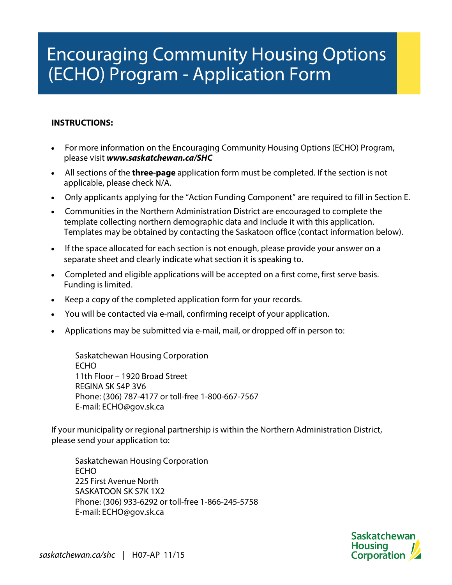## Encouraging Community Housing Options (ECHO) Program - Application Form

## **INSTRUCTIONS:**

- For more information on the Encouraging Community Housing Options (ECHO) Program, please visit **www.saskatchewan.ca/SHC**
- All sections of the **three-page** application form must be completed. If the section is not applicable, please check N/A.
- Only applicants applying for the "Action Funding Component" are required to fill in Section E.
- Communities in the Northern Administration District are encouraged to complete the template collecting northern demographic data and include it with this application. Templates may be obtained by contacting the Saskatoon office (contact information below).
- If the space allocated for each section is not enough, please provide your answer on a separate sheet and clearly indicate what section it is speaking to.
- Completed and eligible applications will be accepted on a first come, first serve basis. Funding is limited.
- Keep a copy of the completed application form for your records.
- You will be contacted via e-mail, confirming receipt of your application.
- Applications may be submitted via e-mail, mail, or dropped off in person to:

Saskatchewan Housing Corporation ECHO 11th Floor – 1920 Broad Street REGINA SK S4P 3V6 Phone: (306) 787-4177 or toll-free 1-800-667-7567 E-mail: ECHO@gov.sk.ca

If your municipality or regional partnership is within the Northern Administration District, please send your application to:

Saskatchewan Housing Corporation ECHO 225 First Avenue North SASKATOON SK S7K 1X2 Phone: (306) 933-6292 or toll-free 1-866-245-5758 E-mail: ECHO@gov.sk.ca

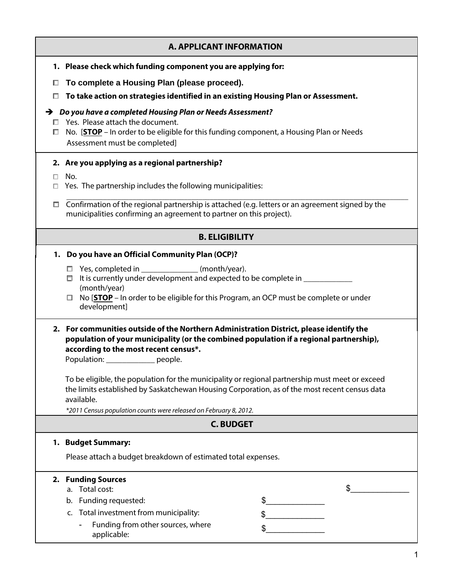|        | <b>A. APPLICANT INFORMATION</b>                                                                                                                                                                                                                                                                                                                                                                                                                                                                                                                          |
|--------|----------------------------------------------------------------------------------------------------------------------------------------------------------------------------------------------------------------------------------------------------------------------------------------------------------------------------------------------------------------------------------------------------------------------------------------------------------------------------------------------------------------------------------------------------------|
|        | 1. Please check which funding component you are applying for:                                                                                                                                                                                                                                                                                                                                                                                                                                                                                            |
| □      | To complete a Housing Plan (please proceed).                                                                                                                                                                                                                                                                                                                                                                                                                                                                                                             |
| □      | To take action on strategies identified in an existing Housing Plan or Assessment.                                                                                                                                                                                                                                                                                                                                                                                                                                                                       |
| ш      | $\rightarrow$ Do you have a completed Housing Plan or Needs Assessment?<br>$\Box$ Yes. Please attach the document.<br>No. [STOP - In order to be eligible for this funding component, a Housing Plan or Needs<br>Assessment must be completed]                                                                                                                                                                                                                                                                                                           |
|        | 2. Are you applying as a regional partnership?                                                                                                                                                                                                                                                                                                                                                                                                                                                                                                           |
| П.     | No.<br>Yes. The partnership includes the following municipalities:                                                                                                                                                                                                                                                                                                                                                                                                                                                                                       |
| $\Box$ | Confirmation of the regional partnership is attached (e.g. letters or an agreement signed by the<br>municipalities confirming an agreement to partner on this project).                                                                                                                                                                                                                                                                                                                                                                                  |
|        | <b>B. ELIGIBILITY</b>                                                                                                                                                                                                                                                                                                                                                                                                                                                                                                                                    |
|        | 1. Do you have an Official Community Plan (OCP)?                                                                                                                                                                                                                                                                                                                                                                                                                                                                                                         |
|        | □ Yes, completed in _______________(month/year).<br>$\Box$ It is currently under development and expected to be complete in $\Box$<br>(month/year)<br>$\Box$ No [STOP – In order to be eligible for this Program, an OCP must be complete or under<br>development]                                                                                                                                                                                                                                                                                       |
|        | 2. For communities outside of the Northern Administration District, please identify the<br>population of your municipality (or the combined population if a regional partnership),<br>according to the most recent census*.<br>Population: ______________ people.<br>To be eligible, the population for the municipality or regional partnership must meet or exceed<br>the limits established by Saskatchewan Housing Corporation, as of the most recent census data<br>available.<br>*2011 Census population counts were released on February 8, 2012. |
|        | <b>C. BUDGET</b>                                                                                                                                                                                                                                                                                                                                                                                                                                                                                                                                         |
|        | 1. Budget Summary:                                                                                                                                                                                                                                                                                                                                                                                                                                                                                                                                       |
|        | Please attach a budget breakdown of estimated total expenses.                                                                                                                                                                                                                                                                                                                                                                                                                                                                                            |
|        | 2. Funding Sources<br>a. Total cost:<br>b. Funding requested:<br>c. Total investment from municipality:<br>Funding from other sources, where<br>applicable:                                                                                                                                                                                                                                                                                                                                                                                              |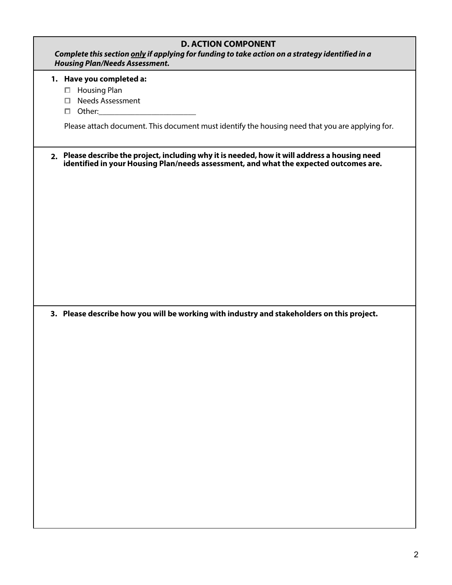| <b>D. ACTION COMPONENT</b><br>Complete this section only if applying for funding to take action on a strategy identified in a<br><b>Housing Plan/Needs Assessment.</b>                  |
|-----------------------------------------------------------------------------------------------------------------------------------------------------------------------------------------|
| 1. Have you completed a:<br>□ Housing Plan<br>□ Needs Assessment<br>$\Box$ Other: $\Box$                                                                                                |
| Please attach document. This document must identify the housing need that you are applying for.                                                                                         |
| 2. Please describe the project, including why it is needed, how it will address a housing need<br>identified in your Housing Plan/needs assessment, and what the expected outcomes are. |
|                                                                                                                                                                                         |
|                                                                                                                                                                                         |
|                                                                                                                                                                                         |
| 3. Please describe how you will be working with industry and stakeholders on this project.                                                                                              |
|                                                                                                                                                                                         |
|                                                                                                                                                                                         |
|                                                                                                                                                                                         |
|                                                                                                                                                                                         |
|                                                                                                                                                                                         |